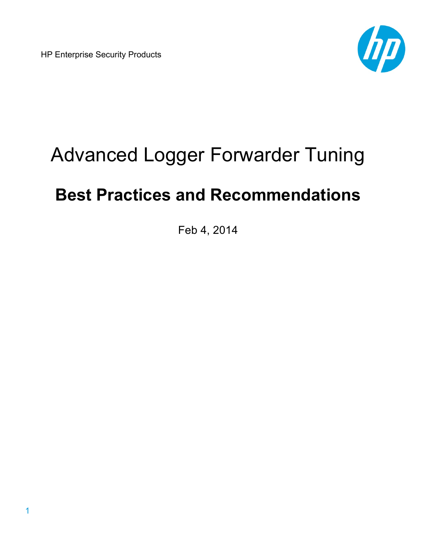HP Enterprise Security Products



# Advanced Logger Forwarder Tuning

# **Best Practices and Recommendations**

Feb 4, 2014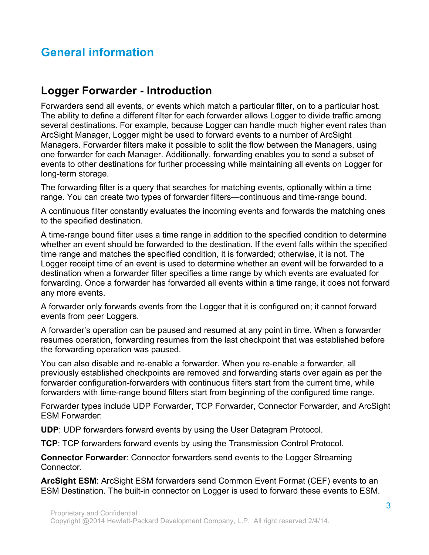# **General information**

### **Logger Forwarder - Introduction**

Forwarders send all events, or events which match a particular filter, on to a particular host. The ability to define a different filter for each forwarder allows Logger to divide traffic among several destinations. For example, because Logger can handle much higher event rates than ArcSight Manager, Logger might be used to forward events to a number of ArcSight Managers. Forwarder filters make it possible to split the flow between the Managers, using one forwarder for each Manager. Additionally, forwarding enables you to send a subset of events to other destinations for further processing while maintaining all events on Logger for long-term storage.

The forwarding filter is a query that searches for matching events, optionally within a time range. You can create two types of forwarder filters—continuous and time-range bound.

A continuous filter constantly evaluates the incoming events and forwards the matching ones to the specified destination.

A time-range bound filter uses a time range in addition to the specified condition to determine whether an event should be forwarded to the destination. If the event falls within the specified time range and matches the specified condition, it is forwarded; otherwise, it is not. The Logger receipt time of an event is used to determine whether an event will be forwarded to a destination when a forwarder filter specifies a time range by which events are evaluated for forwarding. Once a forwarder has forwarded all events within a time range, it does not forward any more events.

A forwarder only forwards events from the Logger that it is configured on; it cannot forward events from peer Loggers.

A forwarder's operation can be paused and resumed at any point in time. When a forwarder resumes operation, forwarding resumes from the last checkpoint that was established before the forwarding operation was paused.

You can also disable and re-enable a forwarder. When you re-enable a forwarder, all previously established checkpoints are removed and forwarding starts over again as per the forwarder configuration-forwarders with continuous filters start from the current time, while forwarders with time-range bound filters start from beginning of the configured time range.

Forwarder types include UDP Forwarder, TCP Forwarder, Connector Forwarder, and ArcSight ESM Forwarder:

**UDP**: UDP forwarders forward events by using the User Datagram Protocol.

**TCP**: TCP forwarders forward events by using the Transmission Control Protocol.

**Connector Forwarder**: Connector forwarders send events to the Logger Streaming Connector.

**ArcSight ESM**: ArcSight ESM forwarders send Common Event Format (CEF) events to an ESM Destination. The built-in connector on Logger is used to forward these events to ESM.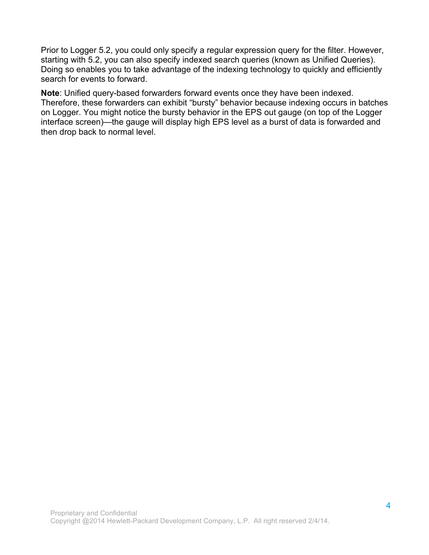Prior to Logger 5.2, you could only specify a regular expression query for the filter. However, starting with 5.2, you can also specify indexed search queries (known as Unified Queries). Doing so enables you to take advantage of the indexing technology to quickly and efficiently search for events to forward.

**Note**: Unified query-based forwarders forward events once they have been indexed. Therefore, these forwarders can exhibit "bursty" behavior because indexing occurs in batches on Logger. You might notice the bursty behavior in the EPS out gauge (on top of the Logger interface screen)—the gauge will display high EPS level as a burst of data is forwarded and then drop back to normal level.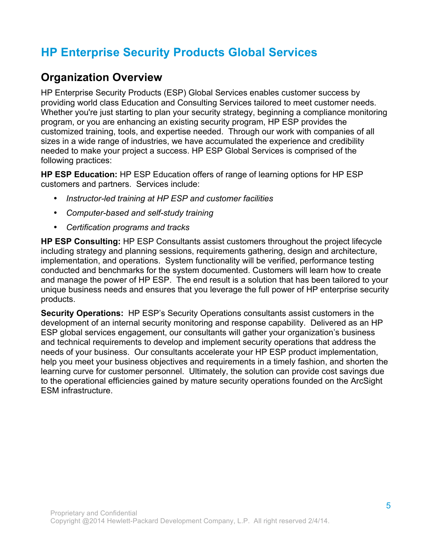# **HP Enterprise Security Products Global Services**

## **Organization Overview**

HP Enterprise Security Products (ESP) Global Services enables customer success by providing world class Education and Consulting Services tailored to meet customer needs. Whether you're just starting to plan your security strategy, beginning a compliance monitoring program, or you are enhancing an existing security program, HP ESP provides the customized training, tools, and expertise needed. Through our work with companies of all sizes in a wide range of industries, we have accumulated the experience and credibility needed to make your project a success. HP ESP Global Services is comprised of the following practices:

**HP ESP Education:** HP ESP Education offers of range of learning options for HP ESP customers and partners. Services include:

- *Instructor-led training at HP ESP and customer facilities*
- *Computer-based and self-study training*
- *Certification programs and tracks*

**HP ESP Consulting:** HP ESP Consultants assist customers throughout the project lifecycle including strategy and planning sessions, requirements gathering, design and architecture, implementation, and operations. System functionality will be verified, performance testing conducted and benchmarks for the system documented. Customers will learn how to create and manage the power of HP ESP. The end result is a solution that has been tailored to your unique business needs and ensures that you leverage the full power of HP enterprise security products.

**Security Operations:** HP ESP's Security Operations consultants assist customers in the development of an internal security monitoring and response capability. Delivered as an HP ESP global services engagement, our consultants will gather your organization's business and technical requirements to develop and implement security operations that address the needs of your business. Our consultants accelerate your HP ESP product implementation, help you meet your business objectives and requirements in a timely fashion, and shorten the learning curve for customer personnel. Ultimately, the solution can provide cost savings due to the operational efficiencies gained by mature security operations founded on the ArcSight ESM infrastructure.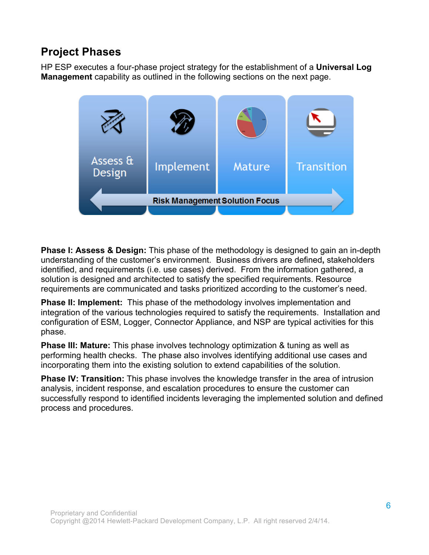# **Project Phases**

HP ESP executes a four-phase project strategy for the establishment of a **Universal Log Management** capability as outlined in the following sections on the next page.



**Phase I: Assess & Design:** This phase of the methodology is designed to gain an in-depth understanding of the customer's environment. Business drivers are defined**,** stakeholders identified, and requirements (i.e. use cases) derived. From the information gathered, a solution is designed and architected to satisfy the specified requirements. Resource requirements are communicated and tasks prioritized according to the customer's need.

**Phase II: Implement:** This phase of the methodology involves implementation and integration of the various technologies required to satisfy the requirements. Installation and configuration of ESM, Logger, Connector Appliance, and NSP are typical activities for this phase.

**Phase III: Mature:** This phase involves technology optimization & tuning as well as performing health checks. The phase also involves identifying additional use cases and incorporating them into the existing solution to extend capabilities of the solution.

**Phase IV: Transition:** This phase involves the knowledge transfer in the area of intrusion analysis, incident response, and escalation procedures to ensure the customer can successfully respond to identified incidents leveraging the implemented solution and defined process and procedures.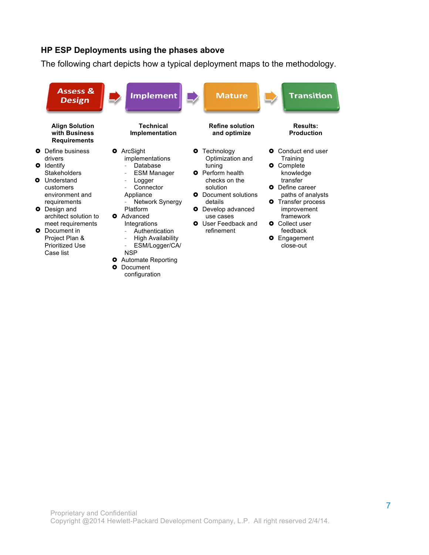#### **HP ESP Deployments using the phases above**

The following chart depicts how a typical deployment maps to the methodology.

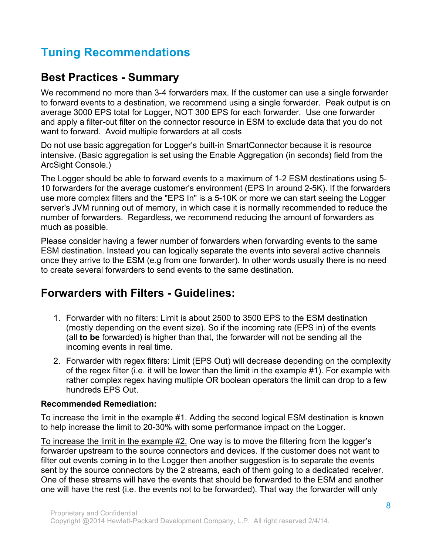# **Tuning Recommendations**

## **Best Practices - Summary**

We recommend no more than 3-4 forwarders max. If the customer can use a single forwarder to forward events to a destination, we recommend using a single forwarder. Peak output is on average 3000 EPS total for Logger, NOT 300 EPS for each forwarder. Use one forwarder and apply a filter-out filter on the connector resource in ESM to exclude data that you do not want to forward. Avoid multiple forwarders at all costs

Do not use basic aggregation for Logger's built-in SmartConnector because it is resource intensive. (Basic aggregation is set using the Enable Aggregation (in seconds) field from the ArcSight Console.)

The Logger should be able to forward events to a maximum of 1-2 ESM destinations using 5- 10 forwarders for the average customer's environment (EPS In around 2-5K). If the forwarders use more complex filters and the "EPS In" is a 5-10K or more we can start seeing the Logger server's JVM running out of memory, in which case it is normally recommended to reduce the number of forwarders. Regardless, we recommend reducing the amount of forwarders as much as possible.

Please consider having a fewer number of forwarders when forwarding events to the same ESM destination. Instead you can logically separate the events into several active channels once they arrive to the ESM (e.g from one forwarder). In other words usually there is no need to create several forwarders to send events to the same destination.

### **Forwarders with Filters - Guidelines:**

- 1. Forwarder with no filters: Limit is about 2500 to 3500 EPS to the ESM destination (mostly depending on the event size). So if the incoming rate (EPS in) of the events (all **to be** forwarded) is higher than that, the forwarder will not be sending all the incoming events in real time.
- 2. Forwarder with regex filters: Limit (EPS Out) will decrease depending on the complexity of the regex filter (i.e. it will be lower than the limit in the example #1). For example with rather complex regex having multiple OR boolean operators the limit can drop to a few hundreds EPS Out.

#### **Recommended Remediation:**

To increase the limit in the example #1. Adding the second logical ESM destination is known to help increase the limit to 20-30% with some performance impact on the Logger.

To increase the limit in the example #2. One way is to move the filtering from the logger's forwarder upstream to the source connectors and devices. If the customer does not want to filter out events coming in to the Logger then another suggestion is to separate the events sent by the source connectors by the 2 streams, each of them going to a dedicated receiver. One of these streams will have the events that should be forwarded to the ESM and another one will have the rest (i.e. the events not to be forwarded). That way the forwarder will only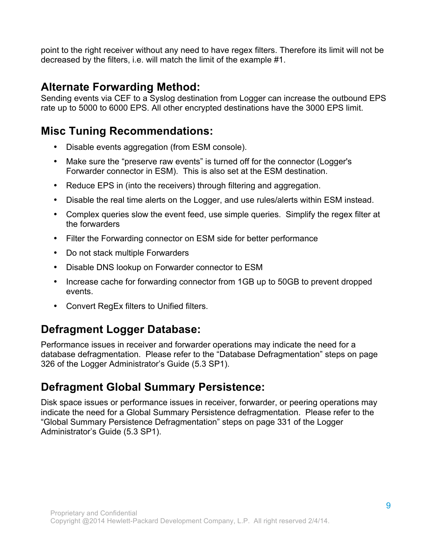point to the right receiver without any need to have regex filters. Therefore its limit will not be decreased by the filters, i.e. will match the limit of the example #1.

# **Alternate Forwarding Method:**

Sending events via CEF to a Syslog destination from Logger can increase the outbound EPS rate up to 5000 to 6000 EPS. All other encrypted destinations have the 3000 EPS limit.

# **Misc Tuning Recommendations:**

- Disable events aggregation (from ESM console).
- Make sure the "preserve raw events" is turned off for the connector (Logger's Forwarder connector in ESM). This is also set at the ESM destination.
- Reduce EPS in (into the receivers) through filtering and aggregation.
- Disable the real time alerts on the Logger, and use rules/alerts within ESM instead.
- Complex queries slow the event feed, use simple queries. Simplify the regex filter at the forwarders
- Filter the Forwarding connector on ESM side for better performance
- Do not stack multiple Forwarders
- Disable DNS lookup on Forwarder connector to ESM
- Increase cache for forwarding connector from 1GB up to 50GB to prevent dropped events.
- Convert RegEx filters to Unified filters.

# **Defragment Logger Database:**

Performance issues in receiver and forwarder operations may indicate the need for a database defragmentation. Please refer to the "Database Defragmentation" steps on page 326 of the Logger Administrator's Guide (5.3 SP1).

# **Defragment Global Summary Persistence:**

Disk space issues or performance issues in receiver, forwarder, or peering operations may indicate the need for a Global Summary Persistence defragmentation. Please refer to the "Global Summary Persistence Defragmentation" steps on page 331 of the Logger Administrator's Guide (5.3 SP1).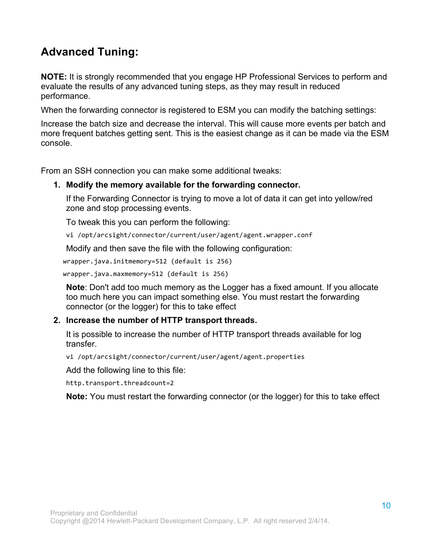# **Advanced Tuning:**

**NOTE:** It is strongly recommended that you engage HP Professional Services to perform and evaluate the results of any advanced tuning steps, as they may result in reduced performance.

When the forwarding connector is registered to ESM you can modify the batching settings:

Increase the batch size and decrease the interval. This will cause more events per batch and more frequent batches getting sent. This is the easiest change as it can be made via the ESM console.

From an SSH connection you can make some additional tweaks:

#### **1. Modify the memory available for the forwarding connector.**

If the Forwarding Connector is trying to move a lot of data it can get into yellow/red zone and stop processing events.

To tweak this you can perform the following:

vi /opt/arcsight/connector/current/user/agent/agent.wrapper.conf

Modify and then save the file with the following configuration:

wrapper.java.initmemory=512 (default is 256)

wrapper.java.maxmemory=512 (default is 256)

**Note**: Don't add too much memory as the Logger has a fixed amount. If you allocate too much here you can impact something else. You must restart the forwarding connector (or the logger) for this to take effect

#### **2. Increase the number of HTTP transport threads.**

It is possible to increase the number of HTTP transport threads available for log transfer.

vi /opt/arcsight/connector/current/user/agent/agent.properties

Add the following line to this file:

http.transport.threadcount=2

**Note:** You must restart the forwarding connector (or the logger) for this to take effect